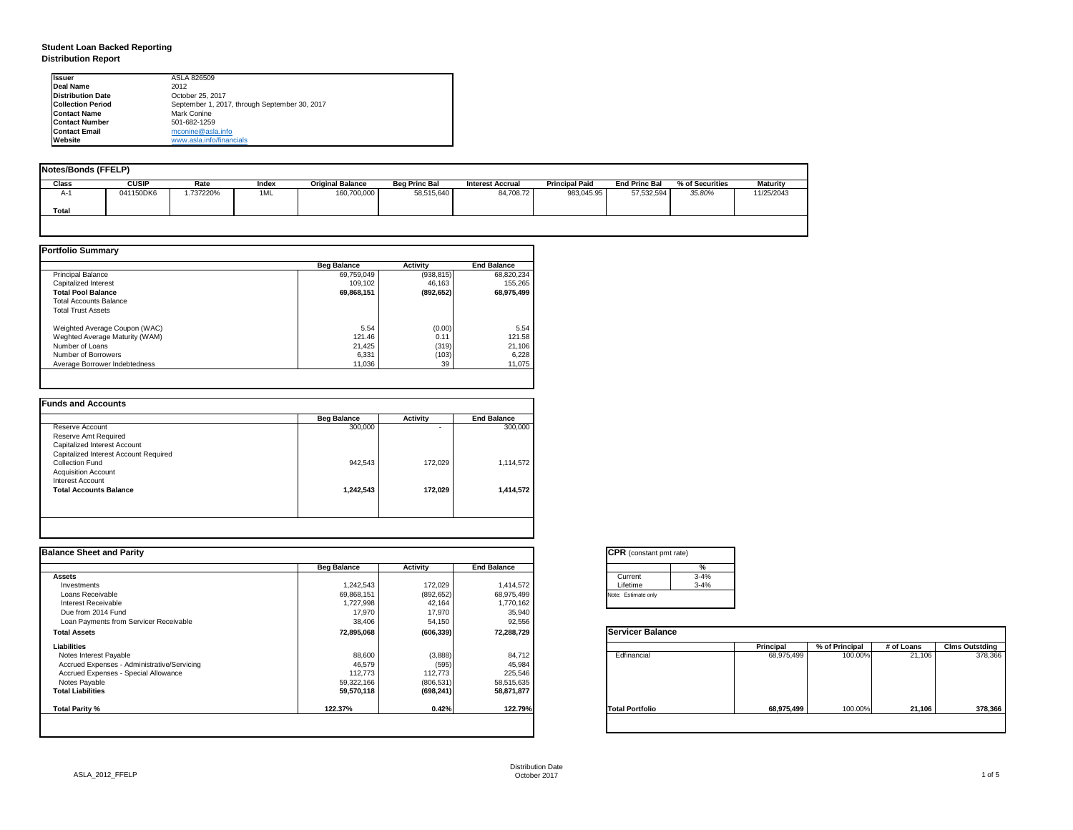| tant pmt rate) |          |
|----------------|----------|
|                | %        |
|                | $3 - 4%$ |
|                | $3 - 4%$ |
| only           |          |

|      | <b>Principal</b> | % of Principal | # of Loans | <b>Clms Outstding</b> |  |  |
|------|------------------|----------------|------------|-----------------------|--|--|
| al   | 68,975,499       | 100.00%        | 21,106     | 378,366               |  |  |
| olic | 68,975,499       | 100.00%        | 21,106     | 378,366               |  |  |

## **Student Loan Backed Reporting Distribution Report**

| Notes/Bonds (FFELP) |              |          |       |                         |                      |                  |                       |                      |                 |                 |
|---------------------|--------------|----------|-------|-------------------------|----------------------|------------------|-----------------------|----------------------|-----------------|-----------------|
| <b>Class</b>        | <b>CUSIP</b> | Rate     | Index | <b>Original Balance</b> | <b>Beg Princ Bal</b> | Interest Accrual | <b>Principal Paid</b> | <b>End Princ Bal</b> | % of Securities | <b>Maturity</b> |
| A-1                 | 041150DK6    | .737220% | 1ML   | 160,700,000             | 58,515,640           | 84,708.72        | 983,045.95            | 57,532,594           | 35.80%          | 11/25/2043      |
| <b>Total</b>        |              |          |       |                         |                      |                  |                       |                      |                 |                 |
|                     |              |          |       |                         |                      |                  |                       |                      |                 |                 |

|                                | <b>Beg Balance</b> | <b>Activity</b> | <b>End Balance</b> |
|--------------------------------|--------------------|-----------------|--------------------|
| <b>Principal Balance</b>       | 69,759,049         | (938, 815)      | 68,820,234         |
| Capitalized Interest           | 109,102            | 46,163          | 155,265            |
| <b>Total Pool Balance</b>      | 69,868,151         | (892, 652)      | 68,975,499         |
| <b>Total Accounts Balance</b>  |                    |                 |                    |
| <b>Total Trust Assets</b>      |                    |                 |                    |
| Weighted Average Coupon (WAC)  | 5.54               | (0.00)          | 5.54               |
| Weghted Average Maturity (WAM) | 121.46             | 0.11            | 121.58             |
| Number of Loans                | 21,425             | (319)           | 21,106             |
| Number of Borrowers            | 6,331              | (103)           | 6,228              |
| Average Borrower Indebtedness  | 11,036             | 39              | 11,075             |

|                                       | <b>Beg Balance</b> | <b>Activity</b> | <b>End Balance</b> |
|---------------------------------------|--------------------|-----------------|--------------------|
| Reserve Account                       | 300,000            | ٠               | 300,000            |
| <b>Reserve Amt Required</b>           |                    |                 |                    |
| <b>Capitalized Interest Account</b>   |                    |                 |                    |
| Capitalized Interest Account Required |                    |                 |                    |
| <b>Collection Fund</b>                | 942,543            | 172,029         | 1,114,572          |
| <b>Acquisition Account</b>            |                    |                 |                    |
| <b>Interest Account</b>               |                    |                 |                    |
| <b>Total Accounts Balance</b>         | 1,242,543          | 172,029         | 1,414,572          |
|                                       |                    |                 |                    |

| <b>Ilssuer</b>           | ASLA 826509                                   |
|--------------------------|-----------------------------------------------|
| Deal Name                | 2012                                          |
| <b>Distribution Date</b> | October 25, 2017                              |
| <b>Collection Period</b> | September 1, 2017, through September 30, 2017 |
| <b>Contact Name</b>      | <b>Mark Conine</b>                            |
| <b>IContact Number</b>   | 501-682-1259                                  |
| <b>Contact Email</b>     | mconine@asla.info                             |
| <b>IWebsite</b>          | www.asla.info/financials                      |

|                    |                 |                    | <b>CPR</b> (constant pmt rate) |                  |                |            |                       |
|--------------------|-----------------|--------------------|--------------------------------|------------------|----------------|------------|-----------------------|
| <b>Beg Balance</b> | <b>Activity</b> | <b>End Balance</b> | $\%$                           |                  |                |            |                       |
|                    |                 |                    | $3 - 4%$<br>Current            |                  |                |            |                       |
| 1,242,543          | 172,029         | 1,414,572          | $3 - 4%$<br>Lifetime           |                  |                |            |                       |
| 69,868,151         | (892, 652)      | 68,975,499         | Note: Estimate only            |                  |                |            |                       |
| ,727,998           | 42,164          | 1,770,162          |                                |                  |                |            |                       |
| 17,970             | 17,970          |                    |                                |                  |                |            |                       |
| 38,406             | 54,150          | 92,556             |                                |                  |                |            |                       |
| 72,895,068         | (606, 339)      | 72,288,729         | <b>Servicer Balance</b>        |                  |                |            |                       |
|                    |                 |                    |                                | <b>Principal</b> | % of Principal | # of Loans | <b>Clms Outstding</b> |
| 88,600             | (3,888)         | 84,712             | Edfinancial                    | 68,975,499       | 100.00%        | 21,106     | 378,366               |
| 46,579             | (595)           | 45,984             |                                |                  |                |            |                       |
| 112,773            | 112,773         | 225,546            |                                |                  |                |            |                       |
| 59,322,166         | (806, 531)      | 58,515,635         |                                |                  |                |            |                       |
| 59,570,118         | (698, 241)      | 58,871,877         |                                |                  |                |            |                       |
| 122.37%            | 0.42%           | 122.79%            | <b>Total Portfolio</b>         | 68,975,499       | 100.00%        | 21,106     | 378,366               |
|                    |                 |                    | 35,940                         |                  |                |            |                       |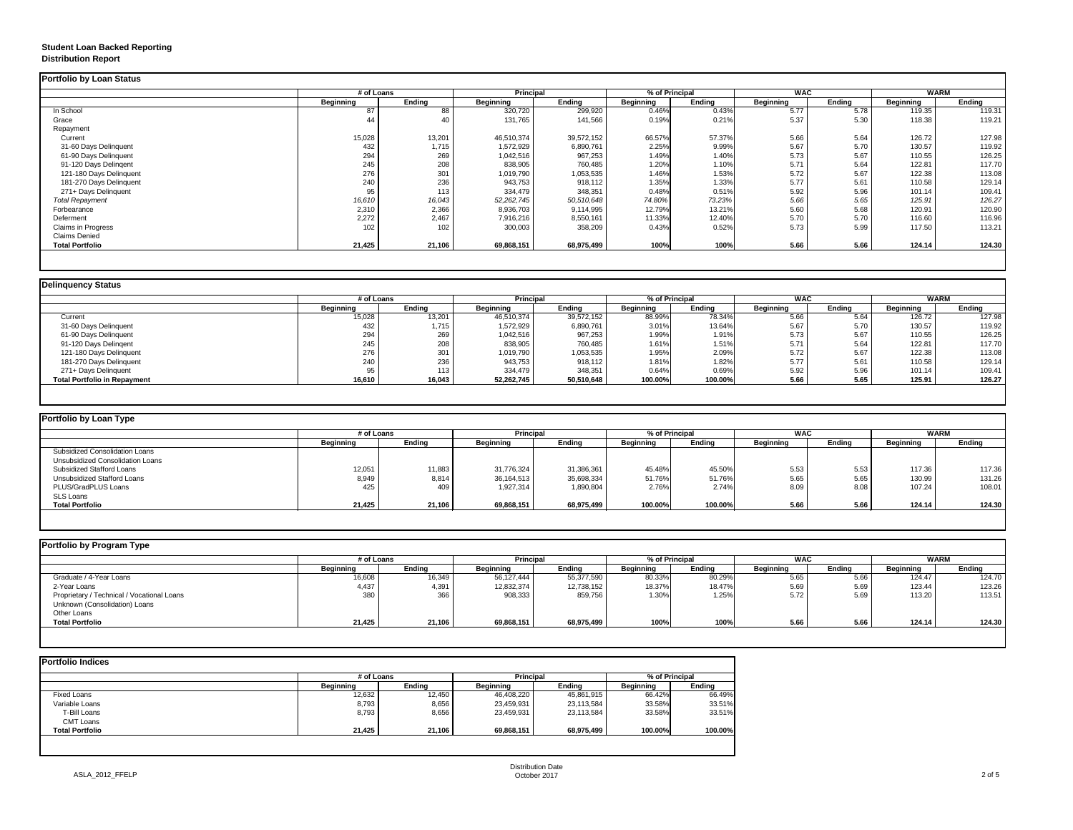## **Student Loan Backed Reporting Distribution Report**

### **Delinquency Status**

|                           | # of Loans       |               | <b>Principal</b> |               | % of Principal   |               | <b>WAC</b>       |               | <b>WARM</b>      |               |
|---------------------------|------------------|---------------|------------------|---------------|------------------|---------------|------------------|---------------|------------------|---------------|
|                           | <b>Beginning</b> | <b>Ending</b> | <b>Beginning</b> | <b>Ending</b> | <b>Beginning</b> | <b>Ending</b> | <b>Beginning</b> | <b>Ending</b> | <b>Beginning</b> | <b>Ending</b> |
| In School                 | 87               | 88            | 320,720          | 299,920       | 0.46%            | 0.43%         | 5.77             | 5.78          | 119.35           | 119.31        |
| Grace                     | 44               | 40            | 131,765          | 141,566       | 0.19%            | 0.21%         | 5.37             | 5.30          | 118.38           | 119.21        |
| Repayment                 |                  |               |                  |               |                  |               |                  |               |                  |               |
| Current                   | 15,028           | 13,201        | 46,510,374       | 39,572,152    | 66.57%           | 57.37%        | 5.66             | 5.64          | 126.72           | 127.98        |
| 31-60 Days Delinquent     | 432              | 1,715         | 1,572,929        | 6,890,761     | 2.25%            | 9.99%         | 5.67             | 5.70          | 130.57           | 119.92        |
| 61-90 Days Delinquent     | 294              | 269           | 1,042,516        | 967,253       | 1.49%            | 1.40%         | 5.73             | 5.67          | 110.55           | 126.25        |
| 91-120 Days Delingent     | 245              | 208           | 838,905          | 760,485       | 1.20%            | 1.10%         | 5.71             | 5.64          | 122.81           | 117.70        |
| 121-180 Days Delinquent   | 276              | 301           | 1,019,790        | 1,053,535     | 1.46%            | 1.53%         | 5.72             | 5.67          | 122.38           | 113.08        |
| 181-270 Days Delinquent   | 240              | 236           | 943,753          | 918,112       | 1.35%            | 1.33%         | 5.77             | 5.61          | 110.58           | 129.14        |
| 271+ Days Delinquent      | 95               | 113           | 334,479          | 348,351       | 0.48%            | 0.51%         | 5.92             | 5.96          | 101.14           | 109.41        |
| <b>Total Repayment</b>    | 16,610           | 16,043        | 52,262,745       | 50,510,648    | 74.80%           | 73.23%        | 5.66             | 5.65          | 125.91           | 126.27        |
| Forbearance               | 2,310            | 2,366         | 8,936,703        | 9,114,995     | 12.79%           | 13.21%        | 5.60             | 5.68          | 120.91           | 120.90        |
| Deferment                 | 2,272            | 2,467         | 7,916,216        | 8,550,161     | 11.33%           | 12.40%        | 5.70             | 5.70          | 116.60           | 116.96        |
| <b>Claims in Progress</b> | 102              | 102           | 300,003          | 358,209       | 0.43%            | 0.52%         | 5.73             | 5.99          | 117.50           | 113.21        |
| <b>Claims Denied</b>      |                  |               |                  |               |                  |               |                  |               |                  |               |
| <b>Total Portfolio</b>    | 21,425           | 21,106        | 69,868,151       | 68,975,499    | 100%             | 100%          | 5.66             | 5.66          | 124.14           | 124.30        |

|                                     | # of Loans       |               | <b>Principal</b> |            | % of Principal   |               | <b>WAC</b>       |        | <b>WARM</b>      |               |
|-------------------------------------|------------------|---------------|------------------|------------|------------------|---------------|------------------|--------|------------------|---------------|
|                                     | <b>Beginning</b> | <b>Ending</b> | <b>Beginning</b> | Ending     | <b>Beginning</b> | <b>Ending</b> | <b>Beginning</b> | Ending | <b>Beginning</b> | <b>Ending</b> |
| Current                             | 15,028           | 13,201        | 46,510,374       | 39,572,152 | 88.99%           | 78.34%        | 5.66             | 5.64   | 126.72           | 127.98        |
| 31-60 Days Delinquent               | 432              | 1,715         | 1,572,929        | 6,890,761  | 3.01%            | 13.64%        | 5.67             | 5.70   | 130.57           | 119.92        |
| 61-90 Days Delinquent               | 294              | 269           | 1,042,516        | 967,253    | 1.99%            | 1.91%         | 5.73             | 5.67   | 110.55           | 126.25        |
| 91-120 Days Delingent               | 245              | 208           | 838,905          | 760,485    | 1.61%            | 1.51%         | 5.71             | 5.64   | 122.81           | 117.70        |
| 121-180 Days Delinquent             | 276              | 301           | 1,019,790        | 1,053,535  | 1.95%            | 2.09%         | 5.72             | 5.67   | 122.38           | 113.08        |
| 181-270 Days Delinquent             | 240              | 236           | 943,753          | 918,112    | 1.81%            | 1.82%         | 5.77             | 5.61   | 110.58           | 129.14        |
| 271+ Days Delinquent                |                  | 113           | 334,479          | 348,351    | 0.64%            | 0.69%         | 5.92             | 5.96   | 101.14           | 109.41        |
| <b>Total Portfolio in Repayment</b> | 16,610           | 16,043        | 52,262,745       | 50,510,648 | 100.00%          | 100.00%       | 5.66             | 5.65   | 125.91           | 126.27        |

| <b>Portfolio by Loan Type</b>           |                  |               |                  |               |                  |               |                  |               |                  |               |
|-----------------------------------------|------------------|---------------|------------------|---------------|------------------|---------------|------------------|---------------|------------------|---------------|
|                                         | # of Loans       |               | <b>Principal</b> |               | % of Principal   |               | <b>WAC</b>       |               | <b>WARM</b>      |               |
|                                         | <b>Beginning</b> | <b>Ending</b> | <b>Beginning</b> | <b>Ending</b> | <b>Beginning</b> | <b>Ending</b> | <b>Beginning</b> | <b>Ending</b> | <b>Beginning</b> | <b>Ending</b> |
| <b>Subsidized Consolidation Loans</b>   |                  |               |                  |               |                  |               |                  |               |                  |               |
| <b>Unsubsidized Consolidation Loans</b> |                  |               |                  |               |                  |               |                  |               |                  |               |
| <b>Subsidized Stafford Loans</b>        | 12,051           | 11,883        | 31,776,324       | 31,386,361    | 45.48%           | 45.50%        | 5.53             | 5.53          | 117.36           | 117.36        |
| <b>Unsubsidized Stafford Loans</b>      | 8,949            | 8,814         | 36,164,513       | 35,698,334    | 51.76%           | 51.76%        | 5.65             | 5.65          | 130.99           | 131.26        |
| <b>PLUS/GradPLUS Loans</b>              | 425              | 409           | 1,927,314        | 1,890,804     | 2.76%            | 2.74%         | 8.09             | 8.08          | 107.24           | 108.01        |
| <b>SLS Loans</b>                        |                  |               |                  |               |                  |               |                  |               |                  |               |
| <b>Total Portfolio</b>                  | 21,425           | 21,106        | 69,868,151       | 68,975,499    | 100.00%          | 100.00%       | 5.66             | 5.66          | 124.14           | 124.30        |

|                                            |                  | # of Loans    |                  | <b>Principal</b> | % of Principal   |               | <b>WAC</b>       |               | <b>WARM</b>      |               |
|--------------------------------------------|------------------|---------------|------------------|------------------|------------------|---------------|------------------|---------------|------------------|---------------|
|                                            | <b>Beginning</b> | <b>Ending</b> | <b>Beginning</b> | Ending           | <b>Beginning</b> | <b>Ending</b> | <b>Beginning</b> | <b>Ending</b> | <b>Beginning</b> | <b>Ending</b> |
| Graduate / 4-Year Loans                    | 16,608           | 16,349        | 56,127,444       | 55,377,590       | 80.33%           | 80.29%        | 5.65             | 5.66          | 124.47           | 124.70        |
| 2-Year Loans                               | 4,437            | 4,391         | 12,832,374       | 12,738,152       | 18.37%           | 18.47%        | 5.69             | 5.69          | 123.44           | 123.26        |
| Proprietary / Technical / Vocational Loans | 380              | 366           | 908,333          | 859,756          | 1.30%            | 1.25%         | 5.72             | 5.69          | 113.20           | 113.51        |
| Unknown (Consolidation) Loans              |                  |               |                  |                  |                  |               |                  |               |                  |               |
| <b>Other Loans</b>                         |                  |               |                  |                  |                  |               |                  |               |                  |               |
| <b>Total Portfolio</b>                     | 21,425           | 21,106        | 69,868,151       | 68,975,499       | 100%             | 100%          | 5.66             | 5.66          | 124.14           | 124.30        |

|                        | # of Loans       | <b>Principal</b> |                  | % of Principal |                  |               |
|------------------------|------------------|------------------|------------------|----------------|------------------|---------------|
|                        | <b>Beginning</b> | <b>Ending</b>    | <b>Beginning</b> | <b>Ending</b>  | <b>Beginning</b> | <b>Ending</b> |
| <b>Fixed Loans</b>     | 12,632           | 12,450           | 46,408,220       | 45,861,915     | 66.42%           | 66.49%        |
| Variable Loans         | 8,793            | 8,656            | 23,459,931       | 23,113,584     | 33.58%           | 33.51%        |
| T-Bill Loans           | 8,793            | 8,656            | 23,459,931       | 23,113,584     | 33.58%           | 33.51%        |
| <b>CMT Loans</b>       |                  |                  |                  |                |                  |               |
| <b>Total Portfolio</b> | 21,425           | 21,106           | 69,868,151       | 68,975,499     | 100.00%          | 100.00%       |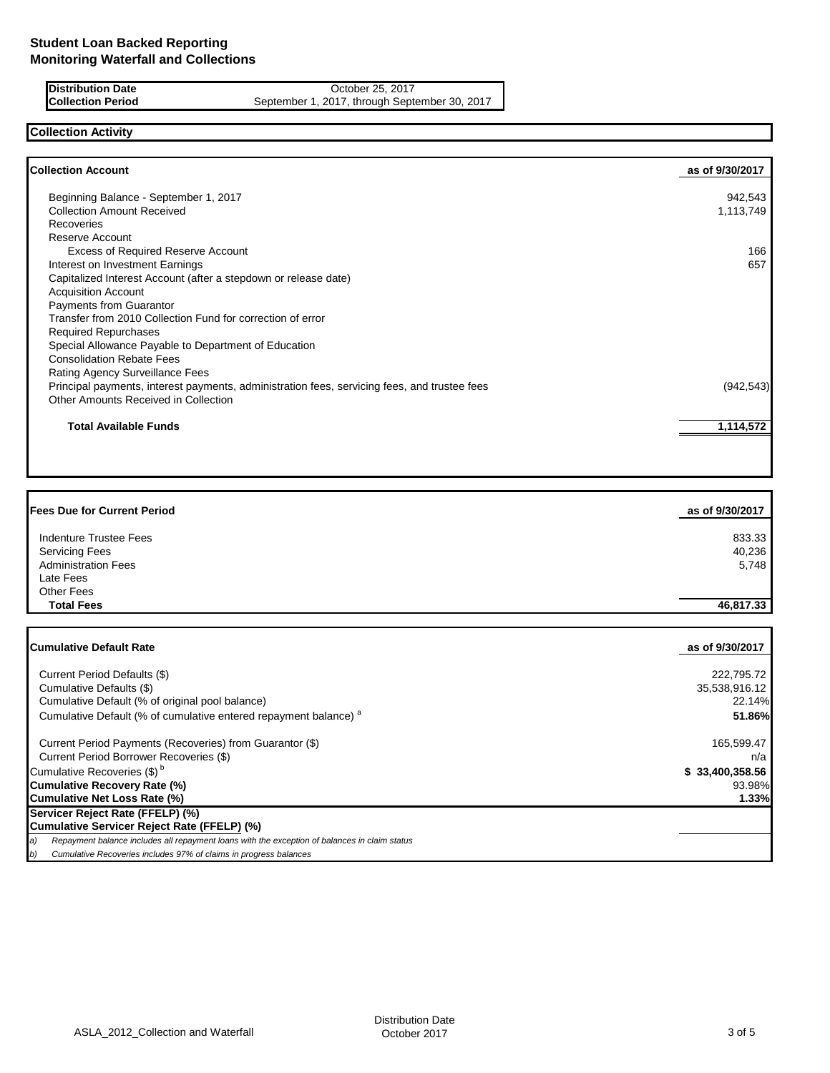**Distribution Date** October 25, 2017<br>**Collection Period** September 1, 2017, through September 1, 2017, through September 1, 2017, through September 25, 2017 September 1, 2017, through September 30, 2017

## **Collection Activity**

| <b>Collection Account</b>                                                                    | as of 9/30/2017 |
|----------------------------------------------------------------------------------------------|-----------------|
| Beginning Balance - September 1, 2017                                                        | 942,543         |
| <b>Collection Amount Received</b>                                                            | 1,113,749       |
| <b>Recoveries</b>                                                                            |                 |
| Reserve Account                                                                              |                 |
| <b>Excess of Required Reserve Account</b>                                                    | 166             |
| Interest on Investment Earnings                                                              | 657             |
| Capitalized Interest Account (after a stepdown or release date)                              |                 |
| <b>Acquisition Account</b>                                                                   |                 |
| Payments from Guarantor                                                                      |                 |
| Transfer from 2010 Collection Fund for correction of error                                   |                 |
| <b>Required Repurchases</b>                                                                  |                 |
| Special Allowance Payable to Department of Education                                         |                 |
| <b>Consolidation Rebate Fees</b>                                                             |                 |
| Rating Agency Surveillance Fees                                                              |                 |
| Principal payments, interest payments, administration fees, servicing fees, and trustee fees | (942, 543)      |
| <b>Other Amounts Received in Collection</b>                                                  |                 |
| <b>Total Available Funds</b>                                                                 | 1,114,572       |

| <b>Fees Due for Current Period</b>                                          | as of 9/30/2017 |
|-----------------------------------------------------------------------------|-----------------|
| <b>Indenture Trustee Fees</b>                                               | 833.33          |
| <b>Servicing Fees</b>                                                       | 40,236          |
| <b>Administration Fees</b>                                                  | 5,748           |
| Late Fees                                                                   |                 |
| <b>Other Fees</b>                                                           |                 |
| <b>Total Fees</b>                                                           | 46,817.33       |
|                                                                             |                 |
| <b>Cumulative Default Rate</b>                                              | as of 9/30/2017 |
| Current Period Defaults (\$)                                                | 222,795.72      |
| Cumulative Defaults (\$)                                                    | 35,538,916.12   |
| Cumulative Default (% of original pool balance)                             | 22.14%          |
| Cumulative Default (% of cumulative entered repayment balance) <sup>a</sup> | 51.86%          |
| Current Period Payments (Recoveries) from Guarantor (\$)                    | 165,599.47      |
| Current Period Borrower Recoveries (\$)                                     | n/a             |

Cumulative Recoveries (\$) b **\$ 33,400,358.56**

**Cumulative Recovery Rate (%)** 93.98% **Cumulative Net Loss Rate (%) 1.33%**

**Servicer Reject Rate (FFELP) (%)**

**Cumulative Servicer Reject Rate (FFELP) (%)** *a) Repayment balance includes all repayment loans with the exception of balances in claim status*

*b) Cumulative Recoveries includes 97% of claims in progress balances*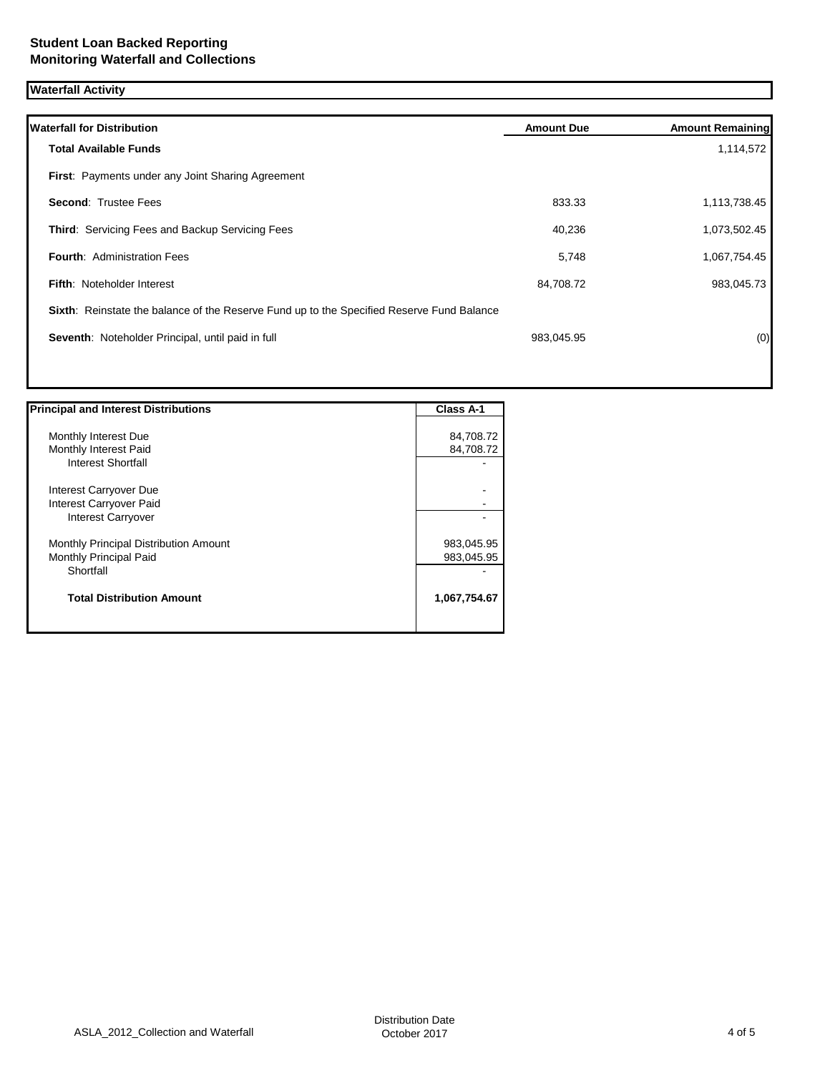# **Waterfall Activity**

| <b>Waterfall for Distribution</b>                                                         | <b>Amount Due</b> | <b>Amount Remaining</b> |
|-------------------------------------------------------------------------------------------|-------------------|-------------------------|
| <b>Total Available Funds</b>                                                              |                   | 1,114,572               |
| First: Payments under any Joint Sharing Agreement                                         |                   |                         |
| <b>Second: Trustee Fees</b>                                                               | 833.33            | 1,113,738.45            |
| Third: Servicing Fees and Backup Servicing Fees                                           | 40,236            | 1,073,502.45            |
| <b>Fourth: Administration Fees</b>                                                        | 5,748             | 1,067,754.45            |
| <b>Fifth: Noteholder Interest</b>                                                         | 84,708.72         | 983,045.73              |
| Sixth: Reinstate the balance of the Reserve Fund up to the Specified Reserve Fund Balance |                   |                         |
| Seventh: Noteholder Principal, until paid in full                                         | 983,045.95        | (0)                     |
|                                                                                           |                   |                         |
|                                                                                           |                   |                         |

| <b>Principal and Interest Distributions</b> | Class A-1    |
|---------------------------------------------|--------------|
|                                             |              |
| Monthly Interest Due                        | 84,708.72    |
| Monthly Interest Paid                       | 84,708.72    |
| Interest Shortfall                          |              |
| Interest Carryover Due                      |              |
| Interest Carryover Paid                     |              |
| <b>Interest Carryover</b>                   |              |
| Monthly Principal Distribution Amount       | 983,045.95   |
| Monthly Principal Paid                      | 983,045.95   |
| Shortfall                                   |              |
| <b>Total Distribution Amount</b>            | 1,067,754.67 |
|                                             |              |

1